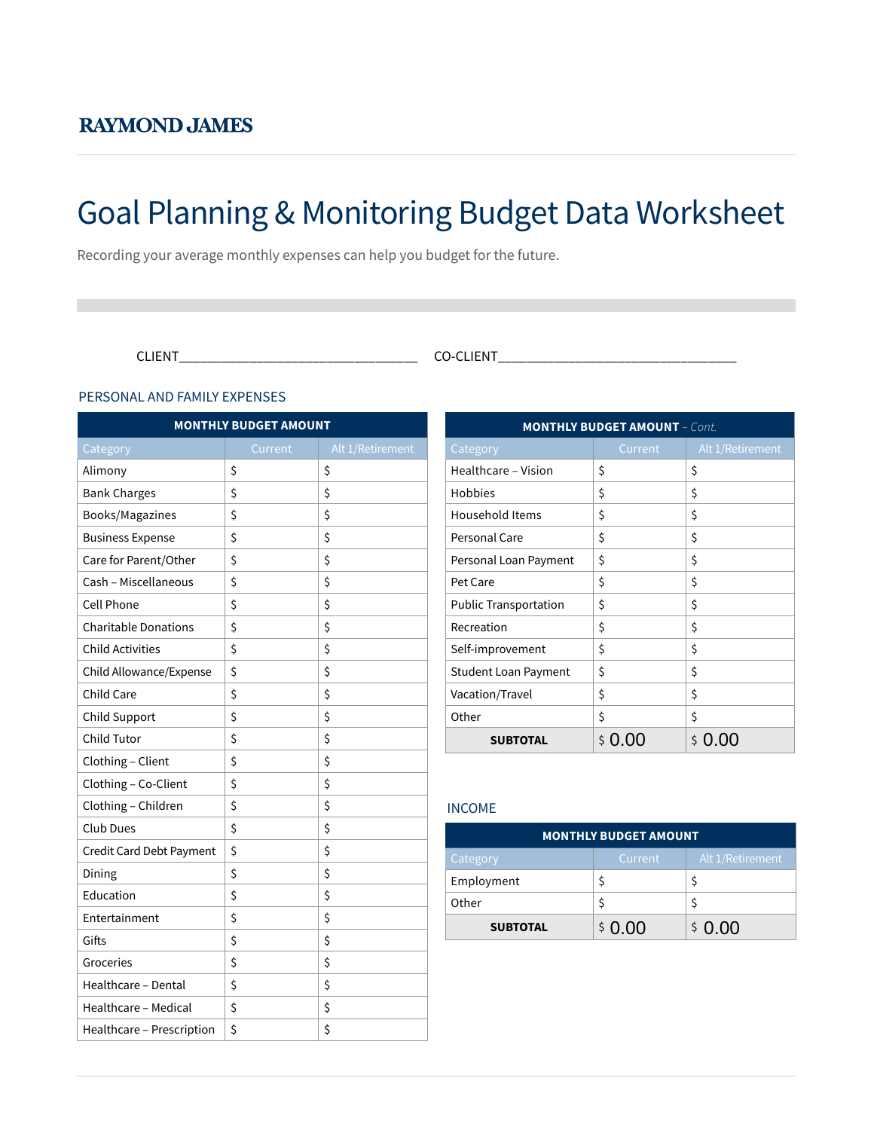# Goal Planning & Monitoring Budget Data Worksheet

Recording your average monthly expenses can help you budget for the future.

CLIENT\_\_\_\_\_\_\_\_\_\_\_\_\_\_\_\_\_\_\_\_\_\_\_\_\_\_\_\_\_\_\_\_\_\_ CO-CLIENT\_\_\_\_\_\_\_\_\_\_\_\_\_\_\_\_\_\_\_\_\_\_\_\_\_\_\_\_\_\_\_\_\_\_

#### PERSONAL AND FAMILY EXPENSES

| <b>MONTHLY BUDGET AMOUNT</b>            |    |    |  |  |  |
|-----------------------------------------|----|----|--|--|--|
| Alt 1/Retirement<br>Category<br>Current |    |    |  |  |  |
| Alimony                                 | \$ | \$ |  |  |  |
| <b>Bank Charges</b>                     | \$ | \$ |  |  |  |
| Books/Magazines                         | \$ | \$ |  |  |  |
| <b>Business Expense</b>                 | \$ | \$ |  |  |  |
| Care for Parent/Other                   | \$ | \$ |  |  |  |
| Cash - Miscellaneous                    | \$ | \$ |  |  |  |
| <b>Cell Phone</b>                       | \$ | \$ |  |  |  |
| <b>Charitable Donations</b>             | \$ | \$ |  |  |  |
| <b>Child Activities</b>                 | \$ | \$ |  |  |  |
| Child Allowance/Expense                 | \$ | \$ |  |  |  |
| Child Care                              | \$ | \$ |  |  |  |
| Child Support                           | \$ | \$ |  |  |  |
| Child Tutor                             | \$ | \$ |  |  |  |
| Clothing - Client                       | \$ | \$ |  |  |  |
| Clothing - Co-Client                    | \$ | \$ |  |  |  |
| Clothing - Children                     | \$ | \$ |  |  |  |
| Club Dues                               | \$ | \$ |  |  |  |
| Credit Card Debt Payment                | \$ | \$ |  |  |  |
| Dining                                  | \$ | \$ |  |  |  |
| Education                               | \$ | \$ |  |  |  |
| Entertainment                           | \$ | \$ |  |  |  |
| Gifts                                   | \$ | \$ |  |  |  |
| Groceries                               | \$ | \$ |  |  |  |
| Healthcare - Dental                     | \$ | \$ |  |  |  |
| Healthcare - Medical                    | \$ | \$ |  |  |  |
| Healthcare - Prescription               | \$ | \$ |  |  |  |

| <b>MONTHLY BUDGET AMOUNT - Cont.</b> |           |                  |  |  |
|--------------------------------------|-----------|------------------|--|--|
| Category                             | Current   | Alt 1/Retirement |  |  |
| Healthcare - Vision                  | \$        | \$               |  |  |
| Hobbies                              | \$        | \$               |  |  |
| Household Items                      | \$        | \$               |  |  |
| <b>Personal Care</b>                 | \$        | \$               |  |  |
| Personal Loan Payment                | \$        | \$               |  |  |
| Pet Care                             | \$        | \$               |  |  |
| <b>Public Transportation</b>         | \$        | \$               |  |  |
| Recreation                           | \$        | \$               |  |  |
| Self-improvement                     | \$        | \$               |  |  |
| <b>Student Loan Payment</b>          | \$        | \$               |  |  |
| Vacation/Travel                      | \$        | \$               |  |  |
| Other                                | \$        | \$               |  |  |
| <b>SUBTOTAL</b>                      | Ś<br>0.00 | Ś<br>0.00        |  |  |

### INCOME

| <b>MONTHLY BUDGET AMOUNT</b> |         |                  |  |
|------------------------------|---------|------------------|--|
| Category                     | Current | Alt 1/Retirement |  |
| Employment                   |         |                  |  |
| Other                        |         |                  |  |
| <b>SUBTOTAL</b>              | \$0.00  | \$0.00           |  |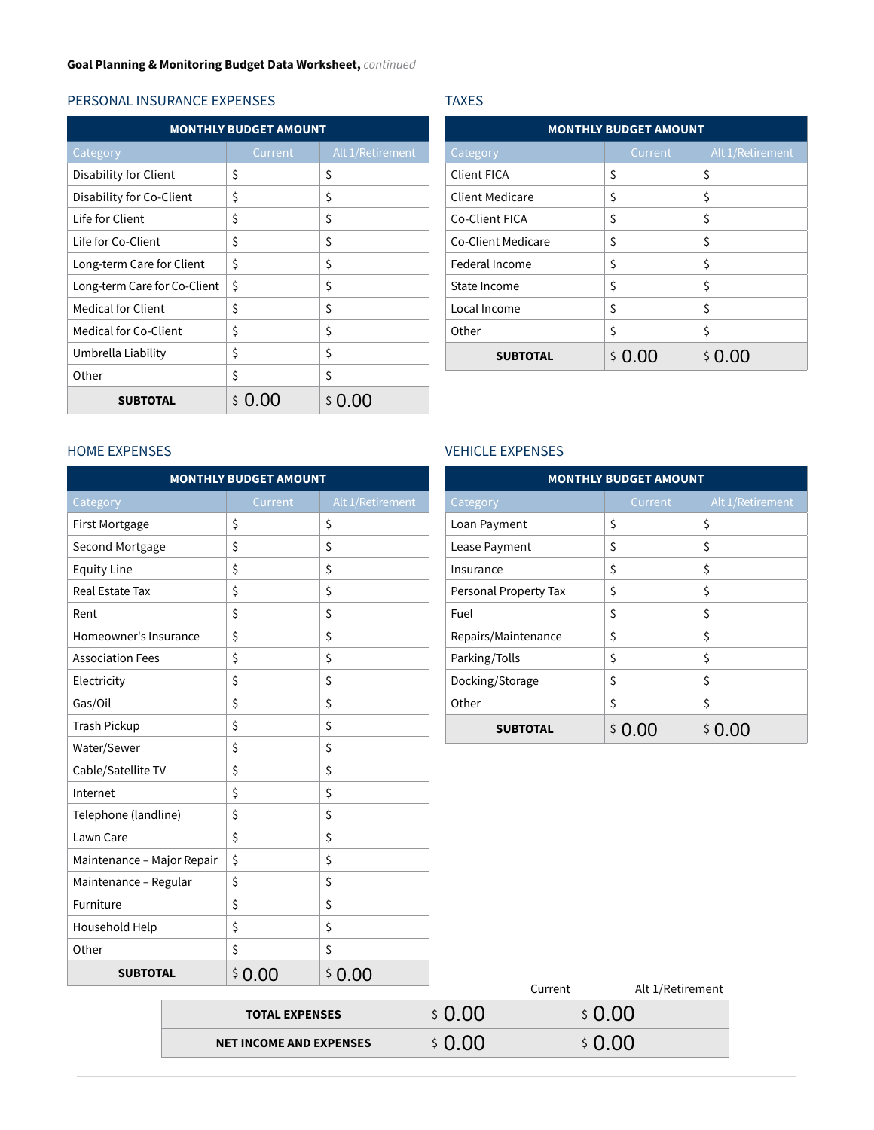#### PERSONAL INSURANCE EXPENSES

| <b>MONTHLY BUDGET AMOUNT</b> |         |                     |  |  |
|------------------------------|---------|---------------------|--|--|
| Category                     | Current | Alt 1/Retirement    |  |  |
| Disability for Client        | \$      | \$                  |  |  |
| Disability for Co-Client     | \$      | \$                  |  |  |
| Life for Client              | \$      | \$                  |  |  |
| Life for Co-Client           | \$      | \$                  |  |  |
| Long-term Care for Client    | \$      | \$                  |  |  |
| Long-term Care for Co-Client | \$      | \$                  |  |  |
| <b>Medical for Client</b>    | \$      | \$                  |  |  |
| Medical for Co-Client        | \$      | \$                  |  |  |
| Umbrella Liability           | \$      | \$                  |  |  |
| Other                        | \$      | \$                  |  |  |
| <b>SUBTOTAL</b>              | Ś       | \$<br>$\cup$ $\cup$ |  |  |

#### TAXES

| <b>MONTHLY BUDGET AMOUNT</b> |           |                  |  |  |
|------------------------------|-----------|------------------|--|--|
| Category                     | Current   | Alt 1/Retirement |  |  |
| Client FICA                  | \$        | \$               |  |  |
| Client Medicare              | \$        | \$               |  |  |
| Co-Client FICA               | \$        | \$               |  |  |
| Co-Client Medicare           | \$        | \$               |  |  |
| Federal Income               | \$        | \$               |  |  |
| State Income                 | \$        | \$               |  |  |
| Local Income                 | \$        | \$               |  |  |
| Other                        | \$        | \$               |  |  |
| <b>SUBTOTAL</b>              | 0.00<br>Ś | 0.OO<br>Ś.       |  |  |

# HOME EXPENSES

| Umbrella Liability         | \$                           | \$               | <b>SUBTOTAL</b>         | \$0.00                                       | \$0.00   |
|----------------------------|------------------------------|------------------|-------------------------|----------------------------------------------|----------|
| Other                      | Ś.                           | Ś.               |                         |                                              |          |
| <b>SUBTOTAL</b>            | \$0.00                       | \$0.00           |                         |                                              |          |
|                            |                              |                  |                         |                                              |          |
| <b>HOME EXPENSES</b>       |                              |                  | <b>VEHICLE EXPENSES</b> |                                              |          |
|                            | <b>MONTHLY BUDGET AMOUNT</b> |                  |                         | <b>MONTHLY BUDGET AMOUNT</b>                 |          |
| Category                   | Current                      | Alt 1/Retirement | Category                | Current                                      | Alt 1/Re |
| First Mortgage             | \$                           | \$               | Loan Payment            | \$                                           | \$       |
| Second Mortgage            | \$                           | \$               | Lease Payment           | \$                                           | \$       |
| <b>Equity Line</b>         | \$                           | \$               | Insurance               | \$                                           | \$       |
| Real Estate Tax            | \$                           | \$               | Personal Property Tax   | \$                                           | \$       |
| Rent                       | \$                           | \$               | Fuel                    | \$                                           | \$       |
| Homeowner's Insurance      | \$                           | \$               | Repairs/Maintenance     | \$                                           | \$       |
| <b>Association Fees</b>    | \$                           | \$               | Parking/Tolls           | \$                                           | \$       |
| Electricity                | \$                           | \$               | Docking/Storage         | \$                                           | \$       |
| Gas/Oil                    | \$                           | \$               | Other                   | \$                                           | \$       |
| Trash Pickup               | \$                           | \$               | <b>SUBTOTAL</b>         | \$0.00                                       | \$0.00   |
| Water/Sewer                | \$                           | \$               |                         |                                              |          |
| Cable/Satellite TV         | \$                           | \$               |                         |                                              |          |
| Internet                   | \$                           | \$               |                         |                                              |          |
| Telephone (landline)       | \$                           | \$               |                         |                                              |          |
| Lawn Care                  | \$                           | \$               |                         |                                              |          |
| Maintenance - Major Repair | \$                           | \$               |                         |                                              |          |
| Maintenance - Regular      | \$                           | \$               |                         |                                              |          |
| Furniture                  | \$                           | \$               |                         |                                              |          |
| Household Help             | \$                           | \$               |                         |                                              |          |
| Other                      | \$                           | \$               |                         |                                              |          |
| <b>SUBTOTAL</b>            | \$0.00                       | \$0.00           | $\sim$                  | $\mathbf{A}$ is $\mathbf{A}$ in $\mathbf{A}$ |          |
|                            |                              |                  | $\sim$                  |                                              |          |

## VEHICLE EXPENSES

| <b>MONTHLY BUDGET AMOUNT</b> |         |                  |  |  |
|------------------------------|---------|------------------|--|--|
| Category                     | Current | Alt 1/Retirement |  |  |
| Loan Payment                 | \$      | \$               |  |  |
| Lease Payment                | \$      | \$               |  |  |
| Insurance                    | \$      | \$               |  |  |
| Personal Property Tax        | \$      | \$               |  |  |
| Fuel                         | \$      | \$               |  |  |
| Repairs/Maintenance          | \$      | \$               |  |  |
| Parking/Tolls                | \$      | \$               |  |  |
| Docking/Storage              | \$      | \$               |  |  |
| Other                        | \$      | \$               |  |  |
| <b>SUBTOTAL</b>              |         |                  |  |  |

| <u>.</u>                       | <u>.</u> |        | Current | Alt 1/Retirement |
|--------------------------------|----------|--------|---------|------------------|
| <b>TOTAL EXPENSES</b>          |          | \$0.00 |         | \$0.00           |
| <b>NET INCOME AND EXPENSES</b> |          | \$0.00 |         | \$0.00           |